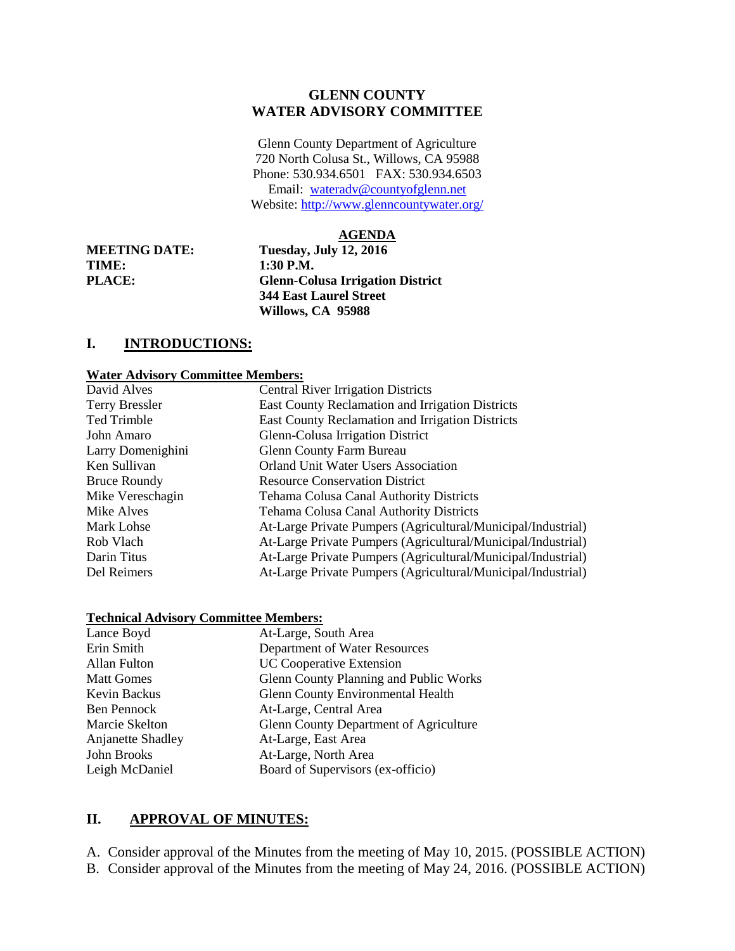### **GLENN COUNTY WATER ADVISORY COMMITTEE**

Glenn County Department of Agriculture 720 North Colusa St., Willows, CA 95988 Phone: 530.934.6501 FAX: 530.934.6503 Email: [wateradv@countyofglenn.net](mailto:wateradv@countyofglenn.net) Website:<http://www.glenncountywater.org/>

#### **AGENDA**

**TIME: 1:30 P.M.** 

**MEETING DATE: Tuesday, July 12, 2016 PLACE: Glenn-Colusa Irrigation District 344 East Laurel Street Willows, CA 95988**

# **I. INTRODUCTIONS:**

#### **Water Advisory Committee Members:**

| David Alves           | <b>Central River Irrigation Districts</b>                    |
|-----------------------|--------------------------------------------------------------|
| <b>Terry Bressler</b> | East County Reclamation and Irrigation Districts             |
| Ted Trimble           | East County Reclamation and Irrigation Districts             |
| John Amaro            | Glenn-Colusa Irrigation District                             |
| Larry Domenighini     | <b>Glenn County Farm Bureau</b>                              |
| Ken Sullivan          | <b>Orland Unit Water Users Association</b>                   |
| <b>Bruce Roundy</b>   | <b>Resource Conservation District</b>                        |
| Mike Vereschagin      | Tehama Colusa Canal Authority Districts                      |
| Mike Alves            | <b>Tehama Colusa Canal Authority Districts</b>               |
| Mark Lohse            | At-Large Private Pumpers (Agricultural/Municipal/Industrial) |
| Rob Vlach             | At-Large Private Pumpers (Agricultural/Municipal/Industrial) |
| Darin Titus           | At-Large Private Pumpers (Agricultural/Municipal/Industrial) |
| Del Reimers           | At-Large Private Pumpers (Agricultural/Municipal/Industrial) |

#### **Technical Advisory Committee Members:**

| Lance Boyd        | At-Large, South Area                          |
|-------------------|-----------------------------------------------|
| Erin Smith        | Department of Water Resources                 |
| Allan Fulton      | <b>UC Cooperative Extension</b>               |
| <b>Matt Gomes</b> | Glenn County Planning and Public Works        |
| Kevin Backus      | <b>Glenn County Environmental Health</b>      |
| Ben Pennock       | At-Large, Central Area                        |
| Marcie Skelton    | <b>Glenn County Department of Agriculture</b> |
| Anjanette Shadley | At-Large, East Area                           |
| John Brooks       | At-Large, North Area                          |
| Leigh McDaniel    | Board of Supervisors (ex-officio)             |

#### **II. APPROVAL OF MINUTES:**

A. Consider approval of the Minutes from the meeting of May 10, 2015. (POSSIBLE ACTION)

B. Consider approval of the Minutes from the meeting of May 24, 2016. (POSSIBLE ACTION)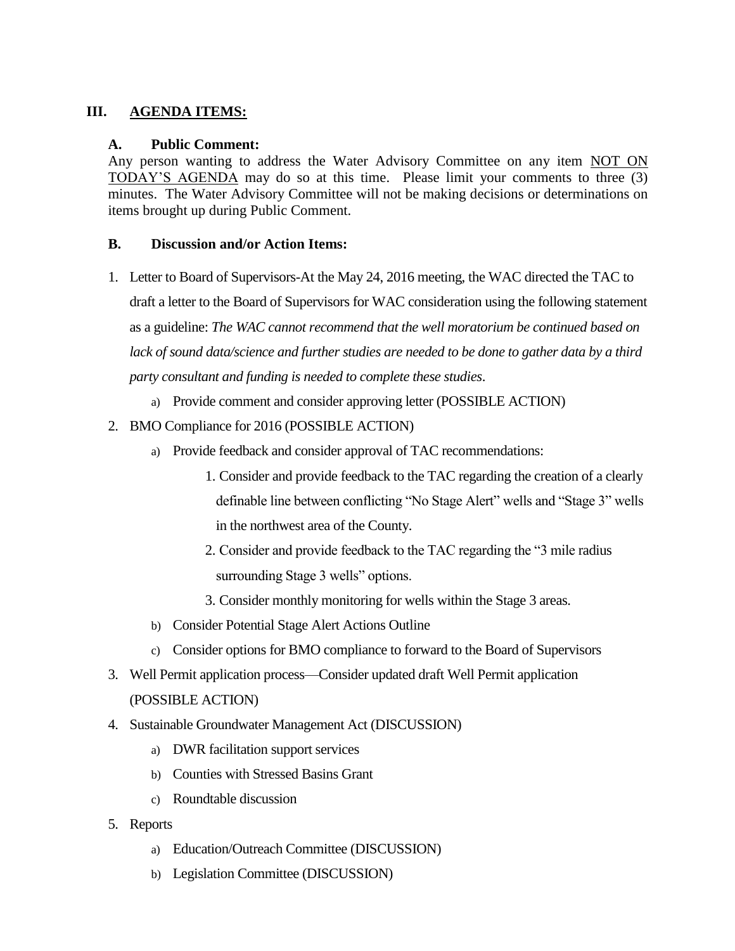## **III. AGENDA ITEMS:**

### **A. Public Comment:**

Any person wanting to address the Water Advisory Committee on any item NOT ON TODAY'S AGENDA may do so at this time. Please limit your comments to three (3) minutes. The Water Advisory Committee will not be making decisions or determinations on items brought up during Public Comment.

### **B. Discussion and/or Action Items:**

- 1. Letter to Board of Supervisors-At the May 24, 2016 meeting, the WAC directed the TAC to draft a letter to the Board of Supervisors for WAC consideration using the following statement as a guideline: *The WAC cannot recommend that the well moratorium be continued based on lack of sound data/science and further studies are needed to be done to gather data by a third party consultant and funding is needed to complete these studies*.
	- a) Provide comment and consider approving letter (POSSIBLE ACTION)
- 2. BMO Compliance for 2016 (POSSIBLE ACTION)
	- a) Provide feedback and consider approval of TAC recommendations:
		- 1. Consider and provide feedback to the TAC regarding the creation of a clearly definable line between conflicting "No Stage Alert" wells and "Stage 3" wells in the northwest area of the County.
		- 2. Consider and provide feedback to the TAC regarding the "3 mile radius surrounding Stage 3 wells" options.
		- 3. Consider monthly monitoring for wells within the Stage 3 areas.
	- b) Consider Potential Stage Alert Actions Outline
	- c) Consider options for BMO compliance to forward to the Board of Supervisors
- 3. Well Permit application process—Consider updated draft Well Permit application (POSSIBLE ACTION)
- 4. Sustainable Groundwater Management Act (DISCUSSION)
	- a) DWR facilitation support services
	- b) Counties with Stressed Basins Grant
	- c) Roundtable discussion
- 5. Reports
	- a) Education/Outreach Committee (DISCUSSION)
	- b) Legislation Committee (DISCUSSION)